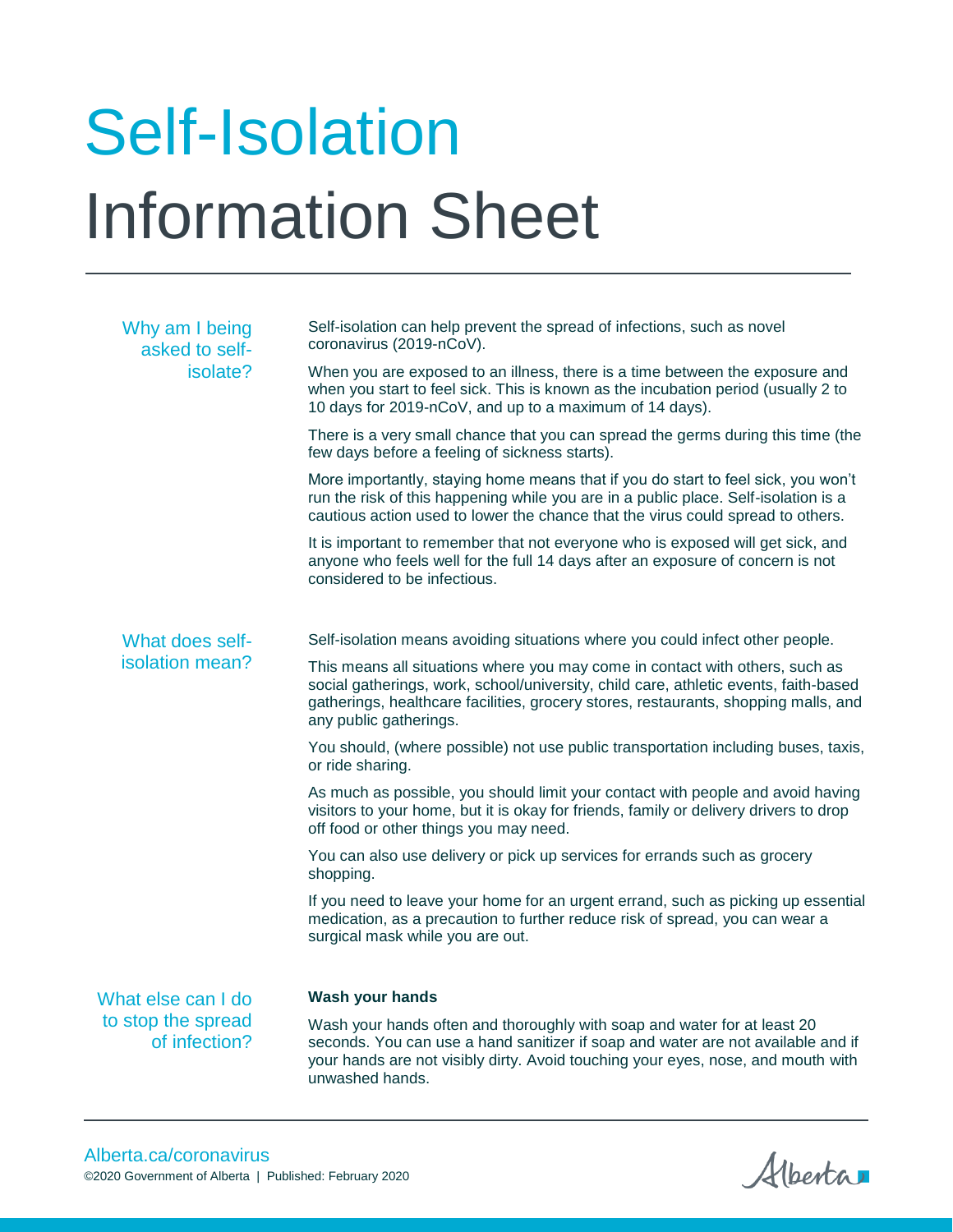## Self-Isolation Information Sheet

| Why am I being<br>asked to self-<br>isolate?              | Self-isolation can help prevent the spread of infections, such as novel<br>coronavirus (2019-nCoV).                                                                                                                                                                                   |
|-----------------------------------------------------------|---------------------------------------------------------------------------------------------------------------------------------------------------------------------------------------------------------------------------------------------------------------------------------------|
|                                                           | When you are exposed to an illness, there is a time between the exposure and<br>when you start to feel sick. This is known as the incubation period (usually 2 to<br>10 days for 2019-nCoV, and up to a maximum of 14 days).                                                          |
|                                                           | There is a very small chance that you can spread the germs during this time (the<br>few days before a feeling of sickness starts).                                                                                                                                                    |
|                                                           | More importantly, staying home means that if you do start to feel sick, you won't<br>run the risk of this happening while you are in a public place. Self-isolation is a<br>cautious action used to lower the chance that the virus could spread to others.                           |
|                                                           | It is important to remember that not everyone who is exposed will get sick, and<br>anyone who feels well for the full 14 days after an exposure of concern is not<br>considered to be infectious.                                                                                     |
| What does self-<br>isolation mean?                        | Self-isolation means avoiding situations where you could infect other people.                                                                                                                                                                                                         |
|                                                           | This means all situations where you may come in contact with others, such as<br>social gatherings, work, school/university, child care, athletic events, faith-based<br>gatherings, healthcare facilities, grocery stores, restaurants, shopping malls, and<br>any public gatherings. |
|                                                           | You should, (where possible) not use public transportation including buses, taxis,<br>or ride sharing.                                                                                                                                                                                |
|                                                           | As much as possible, you should limit your contact with people and avoid having<br>visitors to your home, but it is okay for friends, family or delivery drivers to drop<br>off food or other things you may need.                                                                    |
|                                                           | You can also use delivery or pick up services for errands such as grocery<br>shopping.                                                                                                                                                                                                |
|                                                           | If you need to leave your home for an urgent errand, such as picking up essential<br>medication, as a precaution to further reduce risk of spread, you can wear a<br>surgical mask while you are out.                                                                                 |
| What else can I do<br>to stop the spread<br>of infection? | Wash your hands                                                                                                                                                                                                                                                                       |
|                                                           | Wash your hands often and thoroughly with soap and water for at least 20<br>seconds. You can use a hand sanitizer if soap and water are not available and if<br>your hands are not visibly dirty. Avoid touching your eyes, nose, and mouth with<br>unwashed hands.                   |

Alberta